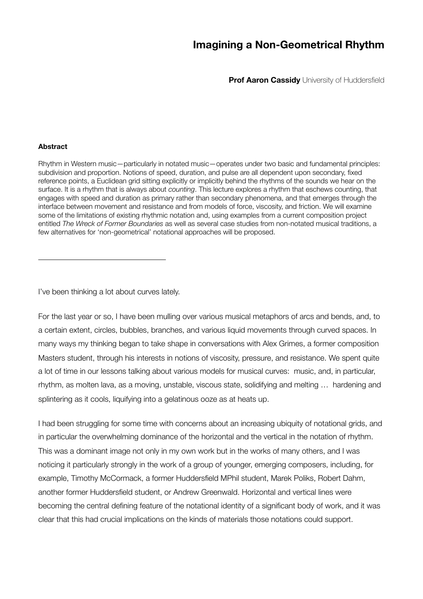# **Imagining a Non-Geometrical Rhythm**

**Prof Aaron Cassidy** University of Huddersfield

### **Abstract**

Rhythm in Western music—particularly in notated music—operates under two basic and fundamental principles: subdivision and proportion. Notions of speed, duration, and pulse are all dependent upon secondary, fixed reference points, a Euclidean grid sitting explicitly or implicitly behind the rhythms of the sounds we hear on the surface. It is a rhythm that is always about *counting*. This lecture explores a rhythm that eschews counting, that engages with speed and duration as primary rather than secondary phenomena, and that emerges through the interface between movement and resistance and from models of force, viscosity, and friction. We will examine some of the limitations of existing rhythmic notation and, using examples from a current composition project entitled *The Wreck of Former Boundaries* as well as several case studies from non-notated musical traditions, a few alternatives for 'non-geometrical' notational approaches will be proposed.

I've been thinking a lot about curves lately.

For the last year or so, I have been mulling over various musical metaphors of arcs and bends, and, to a certain extent, circles, bubbles, branches, and various liquid movements through curved spaces. In many ways my thinking began to take shape in conversations with Alex Grimes, a former composition Masters student, through his interests in notions of viscosity, pressure, and resistance. We spent quite a lot of time in our lessons talking about various models for musical curves: music, and, in particular, rhythm, as molten lava, as a moving, unstable, viscous state, solidifying and melting … hardening and splintering as it cools, liquifying into a gelatinous ooze as at heats up.

I had been struggling for some time with concerns about an increasing ubiquity of notational grids, and in particular the overwhelming dominance of the horizontal and the vertical in the notation of rhythm. This was a dominant image not only in my own work but in the works of many others, and I was noticing it particularly strongly in the work of a group of younger, emerging composers, including, for example, Timothy McCormack, a former Huddersfield MPhil student, Marek Poliks, Robert Dahm, another former Huddersfield student, or Andrew Greenwald. Horizontal and vertical lines were becoming the central defining feature of the notational identity of a significant body of work, and it was clear that this had crucial implications on the kinds of materials those notations could support.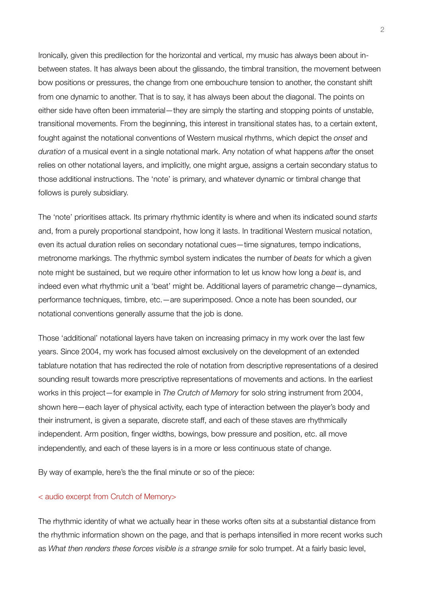Ironically, given this predilection for the horizontal and vertical, my music has always been about inbetween states. It has always been about the glissando, the timbral transition, the movement between bow positions or pressures, the change from one embouchure tension to another, the constant shift from one dynamic to another. That is to say, it has always been about the diagonal. The points on either side have often been immaterial—they are simply the starting and stopping points of unstable, transitional movements. From the beginning, this interest in transitional states has, to a certain extent, fought against the notational conventions of Western musical rhythms, which depict the *onset* and *duration* of a musical event in a single notational mark. Any notation of what happens *after* the onset relies on other notational layers, and implicitly, one might argue, assigns a certain secondary status to those additional instructions. The 'note' is primary, and whatever dynamic or timbral change that follows is purely subsidiary.

The 'note' prioritises attack. Its primary rhythmic identity is where and when its indicated sound *starts*  and, from a purely proportional standpoint, how long it lasts. In traditional Western musical notation, even its actual duration relies on secondary notational cues—time signatures, tempo indications, metronome markings. The rhythmic symbol system indicates the number of *beats* for which a given note might be sustained, but we require other information to let us know how long a *beat* is, and indeed even what rhythmic unit a 'beat' might be. Additional layers of parametric change—dynamics, performance techniques, timbre, etc.—are superimposed. Once a note has been sounded, our notational conventions generally assume that the job is done.

Those 'additional' notational layers have taken on increasing primacy in my work over the last few years. Since 2004, my work has focused almost exclusively on the development of an extended tablature notation that has redirected the role of notation from descriptive representations of a desired sounding result towards more prescriptive representations of movements and actions. In the earliest works in this project—for example in *The Crutch of Memory* for solo string instrument from 2004, shown here—each layer of physical activity, each type of interaction between the player's body and their instrument, is given a separate, discrete staff, and each of these staves are rhythmically independent. Arm position, finger widths, bowings, bow pressure and position, etc. all move independently, and each of these layers is in a more or less continuous state of change.

By way of example, here's the the final minute or so of the piece:

### < audio excerpt from Crutch of Memory>

The rhythmic identity of what we actually hear in these works often sits at a substantial distance from the rhythmic information shown on the page, and that is perhaps intensified in more recent works such as *What then renders these forces visible is a strange smile* for solo trumpet. At a fairly basic level,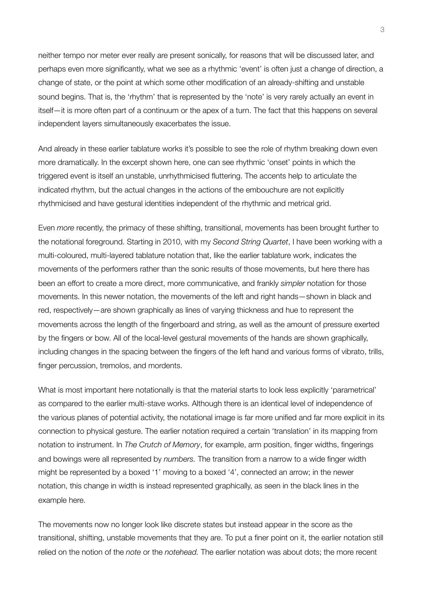neither tempo nor meter ever really are present sonically, for reasons that will be discussed later, and perhaps even more significantly, what we see as a rhythmic 'event' is often just a change of direction, a change of state, or the point at which some other modification of an already-shifting and unstable sound begins. That is, the 'rhythm' that is represented by the 'note' is very rarely actually an event in itself—it is more often part of a continuum or the apex of a turn. The fact that this happens on several independent layers simultaneously exacerbates the issue.

And already in these earlier tablature works it's possible to see the role of rhythm breaking down even more dramatically. In the excerpt shown here, one can see rhythmic 'onset' points in which the triggered event is itself an unstable, unrhythmicised fluttering. The accents help to articulate the indicated rhythm, but the actual changes in the actions of the embouchure are not explicitly rhythmicised and have gestural identities independent of the rhythmic and metrical grid.

Even *more* recently, the primacy of these shifting, transitional, movements has been brought further to the notational foreground. Starting in 2010, with my *Second String Quartet*, I have been working with a multi-coloured, multi-layered tablature notation that, like the earlier tablature work, indicates the movements of the performers rather than the sonic results of those movements, but here there has been an effort to create a more direct, more communicative, and frankly *simpler* notation for those movements. In this newer notation, the movements of the left and right hands—shown in black and red, respectively—are shown graphically as lines of varying thickness and hue to represent the movements across the length of the fingerboard and string, as well as the amount of pressure exerted by the fingers or bow. All of the local-level gestural movements of the hands are shown graphically, including changes in the spacing between the fingers of the left hand and various forms of vibrato, trills, finger percussion, tremolos, and mordents.

What is most important here notationally is that the material starts to look less explicitly 'parametrical' as compared to the earlier multi-stave works. Although there is an identical level of independence of the various planes of potential activity, the notational image is far more unified and far more explicit in its connection to physical gesture. The earlier notation required a certain 'translation' in its mapping from notation to instrument. In *The Crutch of Memory*, for example, arm position, finger widths, fingerings and bowings were all represented by *numbers.* The transition from a narrow to a wide finger width might be represented by a boxed '1' moving to a boxed '4', connected an arrow; in the newer notation, this change in width is instead represented graphically, as seen in the black lines in the example here.

The movements now no longer look like discrete states but instead appear in the score as the transitional, shifting, unstable movements that they are. To put a finer point on it, the earlier notation still relied on the notion of the *note* or the *notehead.* The earlier notation was about dots; the more recent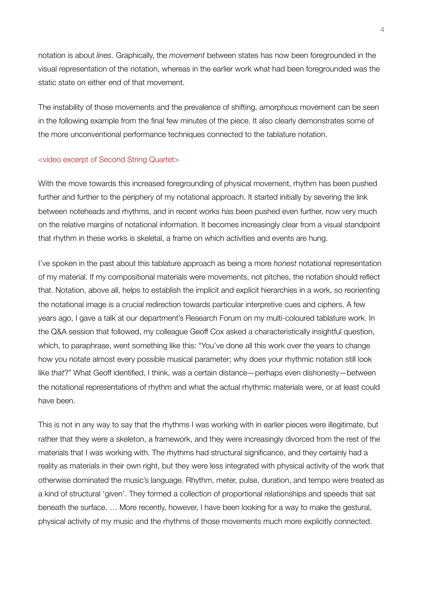notation is about *lines*. Graphically, the *movement* between states has now been foregrounded in the visual representation of the notation, whereas in the earlier work what had been foregrounded was the static state on either end of that movement.

The instability of those movements and the prevalence of shifting, amorphous movement can be seen in the following example from the final few minutes of the piece. It also clearly demonstrates some of the more unconventional performance techniques connected to the tablature notation.

### <video excerpt of Second String Quartet>

With the move towards this increased foregrounding of physical movement, rhythm has been pushed further and further to the periphery of my notational approach. It started initially by severing the link between noteheads and rhythms, and in recent works has been pushed even further, now very much on the relative margins of notational information. It becomes increasingly clear from a visual standpoint that rhythm in these works is skeletal, a frame on which activities and events are hung.

I've spoken in the past about this tablature approach as being a more *honest* notational representation of my material. If my compositional materials were movements, not pitches, the notation should reflect that. Notation, above all, helps to establish the implicit and explicit hierarchies in a work, so reorienting the notational image is a crucial redirection towards particular interpretive cues and ciphers. A few years ago, I gave a talk at our department's Research Forum on my multi-coloured tablature work. In the Q&A session that followed, my colleague Geoff Cox asked a characteristically insightful question, which, to paraphrase, went something like this: "You've done all this work over the years to change how you notate almost every possible musical parameter; why does your rhythmic notation still look like *that*?" What Geoff identified, I think, was a certain distance—perhaps even dishonesty—between the notational representations of rhythm and what the actual rhythmic materials were, or at least could have been.

This is not in any way to say that the rhythms I was working with in earlier pieces were illegitimate, but rather that they were a skeleton, a framework, and they were increasingly divorced from the rest of the materials that I was working with. The rhythms had structural significance, and they certainly had a reality as materials in their own right, but they were less integrated with physical activity of the work that otherwise dominated the music's language. Rhythm, meter, pulse, duration, and tempo were treated as a kind of structural 'given'. They formed a collection of proportional relationships and speeds that sat beneath the surface. … More recently, however, I have been looking for a way to make the gestural, physical activity of my music and the rhythms of those movements much more explicitly connected.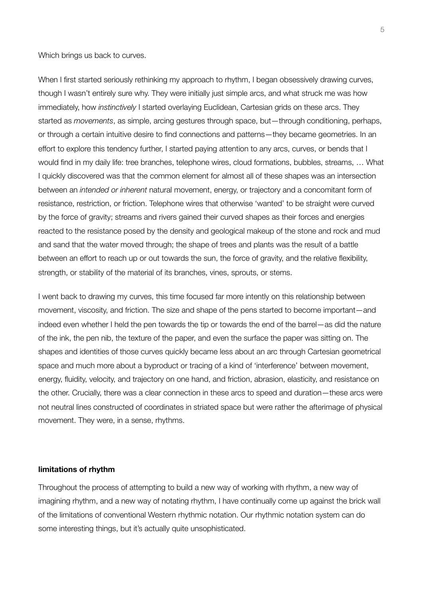Which brings us back to curves.

When I first started seriously rethinking my approach to rhythm, I began obsessively drawing curves, though I wasn't entirely sure why. They were initially just simple arcs, and what struck me was how immediately, how *instinctively* I started overlaying Euclidean, Cartesian grids on these arcs. They started as *movements*, as simple, arcing gestures through space, but—through conditioning, perhaps, or through a certain intuitive desire to find connections and patterns—they became geometries. In an effort to explore this tendency further, I started paying attention to any arcs, curves, or bends that I would find in my daily life: tree branches, telephone wires, cloud formations, bubbles, streams, … What I quickly discovered was that the common element for almost all of these shapes was an intersection between an *intended or inherent* natural movement, energy, or trajectory and a concomitant form of resistance, restriction, or friction. Telephone wires that otherwise 'wanted' to be straight were curved by the force of gravity; streams and rivers gained their curved shapes as their forces and energies reacted to the resistance posed by the density and geological makeup of the stone and rock and mud and sand that the water moved through; the shape of trees and plants was the result of a battle between an effort to reach up or out towards the sun, the force of gravity, and the relative flexibility, strength, or stability of the material of its branches, vines, sprouts, or stems.

I went back to drawing my curves, this time focused far more intently on this relationship between movement, viscosity, and friction. The size and shape of the pens started to become important—and indeed even whether I held the pen towards the tip or towards the end of the barrel—as did the nature of the ink, the pen nib, the texture of the paper, and even the surface the paper was sitting on. The shapes and identities of those curves quickly became less about an arc through Cartesian geometrical space and much more about a byproduct or tracing of a kind of 'interference' between movement, energy, fluidity, velocity, and trajectory on one hand, and friction, abrasion, elasticity, and resistance on the other. Crucially, there was a clear connection in these arcs to speed and duration—these arcs were not neutral lines constructed of coordinates in striated space but were rather the afterimage of physical movement. They were, in a sense, rhythms.

#### **limitations of rhythm**

Throughout the process of attempting to build a new way of working with rhythm, a new way of imagining rhythm, and a new way of notating rhythm, I have continually come up against the brick wall of the limitations of conventional Western rhythmic notation. Our rhythmic notation system can do some interesting things, but it's actually quite unsophisticated.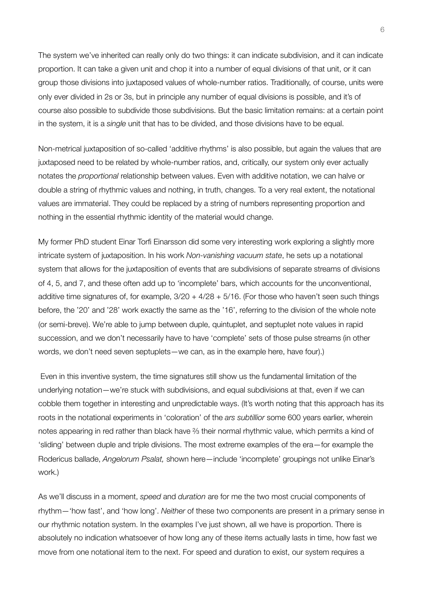The system we've inherited can really only do two things: it can indicate subdivision, and it can indicate proportion. It can take a given unit and chop it into a number of equal divisions of that unit, or it can group those divisions into juxtaposed values of whole-number ratios. Traditionally, of course, units were only ever divided in 2s or 3s, but in principle any number of equal divisions is possible, and it's of course also possible to subdivide those subdivisions. But the basic limitation remains: at a certain point in the system, it is a *single* unit that has to be divided, and those divisions have to be equal.

Non-metrical juxtaposition of so-called 'additive rhythms' is also possible, but again the values that are juxtaposed need to be related by whole-number ratios, and, critically, our system only ever actually notates the *proportional* relationship between values. Even with additive notation, we can halve or double a string of rhythmic values and nothing, in truth, changes. To a very real extent, the notational values are immaterial. They could be replaced by a string of numbers representing proportion and nothing in the essential rhythmic identity of the material would change.

My former PhD student Einar Torfi Einarsson did some very interesting work exploring a slightly more intricate system of juxtaposition. In his work *Non-vanishing vacuum state*, he sets up a notational system that allows for the juxtaposition of events that are subdivisions of separate streams of divisions of 4, 5, and 7, and these often add up to 'incomplete' bars, which accounts for the unconventional, additive time signatures of, for example,  $3/20 + 4/28 + 5/16$ . (For those who haven't seen such things before, the '20' and '28' work exactly the same as the '16', referring to the division of the whole note (or semi-breve). We're able to jump between duple, quintuplet, and septuplet note values in rapid succession, and we don't necessarily have to have 'complete' sets of those pulse streams (in other words, we don't need seven septuplets—we can, as in the example here, have four).)

 Even in this inventive system, the time signatures still show us the fundamental limitation of the underlying notation—we're stuck with subdivisions, and equal subdivisions at that, even if we can cobble them together in interesting and unpredictable ways. (It's worth noting that this approach has its roots in the notational experiments in 'coloration' of the *ars subtillior* some 600 years earlier, wherein notes appearing in red rather than black have ⅔ their normal rhythmic value, which permits a kind of 'sliding' between duple and triple divisions. The most extreme examples of the era—for example the Rodericus ballade, *Angelorum Psalat,* shown here—include 'incomplete' groupings not unlike Einar's work.)

As we'll discuss in a moment, *speed* and *duration* are for me the two most crucial components of rhythm—'how fast', and 'how long'. *Neither* of these two components are present in a primary sense in our rhythmic notation system. In the examples I've just shown, all we have is proportion. There is absolutely no indication whatsoever of how long any of these items actually lasts in time, how fast we move from one notational item to the next. For speed and duration to exist, our system requires a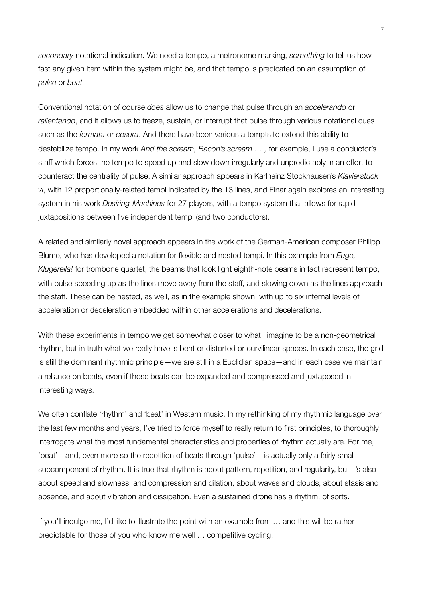*secondary* notational indication. We need a tempo, a metronome marking, *something* to tell us how fast any given item within the system might be, and that tempo is predicated on an assumption of *pulse* or *beat.*

Conventional notation of course *does* allow us to change that pulse through an *accelerando* or *rallentando*, and it allows us to freeze, sustain, or interrupt that pulse through various notational cues such as the *fermata* or *cesura*. And there have been various attempts to extend this ability to destabilize tempo. In my work *And the scream, Bacon's scream … ,* for example, I use a conductor's staff which forces the tempo to speed up and slow down irregularly and unpredictably in an effort to counteract the centrality of pulse. A similar approach appears in Karlheinz Stockhausen's *Klavierstuck vi*, with 12 proportionally-related tempi indicated by the 13 lines, and Einar again explores an interesting system in his work *Desiring-Machines* for 27 players, with a tempo system that allows for rapid juxtapositions between five independent tempi (and two conductors).

A related and similarly novel approach appears in the work of the German-American composer Philipp Blume, who has developed a notation for flexible and nested tempi. In this example from *Euge, Klugerella!* for trombone quartet, the beams that look light eighth-note beams in fact represent tempo, with pulse speeding up as the lines move away from the staff, and slowing down as the lines approach the staff. These can be nested, as well, as in the example shown, with up to six internal levels of acceleration or deceleration embedded within other accelerations and decelerations.

With these experiments in tempo we get somewhat closer to what I imagine to be a non-geometrical rhythm, but in truth what we really have is bent or distorted or curvilinear spaces. In each case, the grid is still the dominant rhythmic principle—we are still in a Euclidian space—and in each case we maintain a reliance on beats, even if those beats can be expanded and compressed and juxtaposed in interesting ways.

We often conflate 'rhythm' and 'beat' in Western music. In my rethinking of my rhythmic language over the last few months and years, I've tried to force myself to really return to first principles, to thoroughly interrogate what the most fundamental characteristics and properties of rhythm actually are. For me, 'beat'—and, even more so the repetition of beats through 'pulse'—is actually only a fairly small subcomponent of rhythm. It is true that rhythm is about pattern, repetition, and regularity, but it's also about speed and slowness, and compression and dilation, about waves and clouds, about stasis and absence, and about vibration and dissipation. Even a sustained drone has a rhythm, of sorts.

If you'll indulge me, I'd like to illustrate the point with an example from … and this will be rather predictable for those of you who know me well … competitive cycling.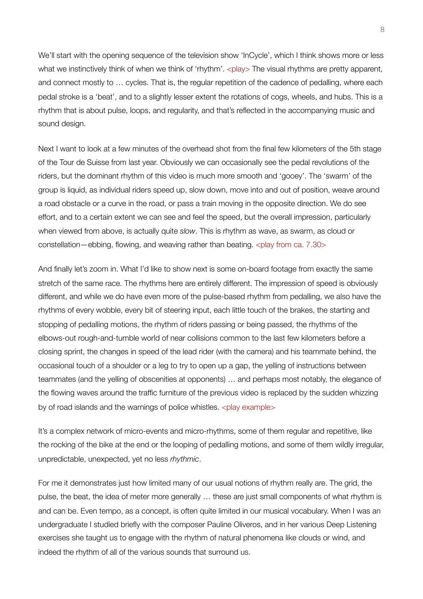We'll start with the opening sequence of the television show 'InCycle', which I think shows more or less what we instinctively think of when we think of 'rhythm'. <play> The visual rhythms are pretty apparent, and connect mostly to … cycles. That is, the regular repetition of the cadence of pedalling, where each pedal stroke is a 'beat', and to a slightly lesser extent the rotations of cogs, wheels, and hubs. This is a rhythm that is about pulse, loops, and regularity, and that's reflected in the accompanying music and sound design.

Next I want to look at a few minutes of the overhead shot from the final few kilometers of the 5th stage of the Tour de Suisse from last year. Obviously we can occasionally see the pedal revolutions of the riders, but the dominant rhythm of this video is much more smooth and 'gooey'. The 'swarm' of the group is liquid, as individual riders speed up, slow down, move into and out of position, weave around a road obstacle or a curve in the road, or pass a train moving in the opposite direction. We do see effort, and to a certain extent we can see and feel the speed, but the overall impression, particularly when viewed from above, is actually quite *slow*. This is rhythm as wave, as swarm, as cloud or constellation—ebbing, flowing, and weaving rather than beating.  $\langle$ play from ca. 7.30>

And finally let's zoom in. What I'd like to show next is some on-board footage from exactly the same stretch of the same race. The rhythms here are entirely different. The impression of speed is obviously different, and while we do have even more of the pulse-based rhythm from pedalling, we also have the rhythms of every wobble, every bit of steering input, each little touch of the brakes, the starting and stopping of pedalling motions, the rhythm of riders passing or being passed, the rhythms of the elbows-out rough-and-tumble world of near collisions common to the last few kilometers before a closing sprint, the changes in speed of the lead rider (with the camera) and his teammate behind, the occasional touch of a shoulder or a leg to try to open up a gap, the yelling of instructions between teammates (and the yelling of obscenities at opponents) … and perhaps most notably, the elegance of the flowing waves around the traffic furniture of the previous video is replaced by the sudden whizzing by of road islands and the warnings of police whistles.  $\langle$ play example $\rangle$ 

It's a complex network of micro-events and micro-rhythms, some of them regular and repetitive, like the rocking of the bike at the end or the looping of pedalling motions, and some of them wildly irregular, unpredictable, unexpected, yet no less *rhythmic*.

For me it demonstrates just how limited many of our usual notions of rhythm really are. The grid, the pulse, the beat, the idea of meter more generally … these are just small components of what rhythm is and can be. Even tempo, as a concept, is often quite limited in our musical vocabulary. When I was an undergraduate I studied briefly with the composer Pauline Oliveros, and in her various Deep Listening exercises she taught us to engage with the rhythm of natural phenomena like clouds or wind, and indeed the rhythm of all of the various sounds that surround us.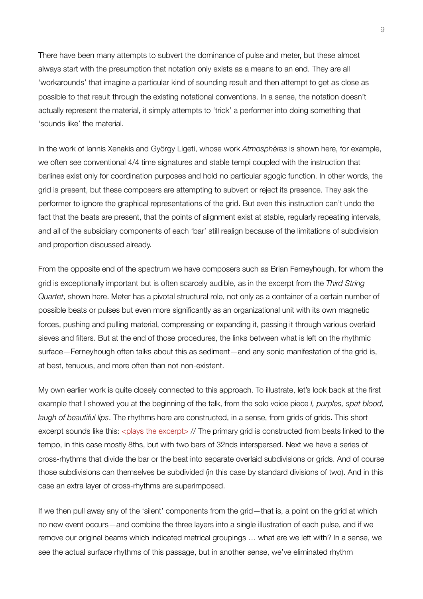There have been many attempts to subvert the dominance of pulse and meter, but these almost always start with the presumption that notation only exists as a means to an end. They are all 'workarounds' that imagine a particular kind of sounding result and then attempt to get as close as possible to that result through the existing notational conventions. In a sense, the notation doesn't actually represent the material, it simply attempts to 'trick' a performer into doing something that 'sounds like' the material.

In the work of Iannis Xenakis and György Ligeti, whose work *Atmosphères* is shown here, for example, we often see conventional 4/4 time signatures and stable tempi coupled with the instruction that barlines exist only for coordination purposes and hold no particular agogic function. In other words, the grid is present, but these composers are attempting to subvert or reject its presence. They ask the performer to ignore the graphical representations of the grid. But even this instruction can't undo the fact that the beats are present, that the points of alignment exist at stable, regularly repeating intervals, and all of the subsidiary components of each 'bar' still realign because of the limitations of subdivision and proportion discussed already.

From the opposite end of the spectrum we have composers such as Brian Ferneyhough, for whom the grid is exceptionally important but is often scarcely audible, as in the excerpt from the *Third String Quartet*, shown here. Meter has a pivotal structural role, not only as a container of a certain number of possible beats or pulses but even more significantly as an organizational unit with its own magnetic forces, pushing and pulling material, compressing or expanding it, passing it through various overlaid sieves and filters. But at the end of those procedures, the links between what is left on the rhythmic surface—Ferneyhough often talks about this as sediment—and any sonic manifestation of the grid is, at best, tenuous, and more often than not non-existent.

My own earlier work is quite closely connected to this approach. To illustrate, let's look back at the first example that I showed you at the beginning of the talk, from the solo voice piece *I, purples, spat blood, laugh of beautiful lips*. The rhythms here are constructed, in a sense, from grids of grids. This short excerpt sounds like this: <plays the excerpt> // The primary grid is constructed from beats linked to the tempo, in this case mostly 8ths, but with two bars of 32nds interspersed. Next we have a series of cross-rhythms that divide the bar or the beat into separate overlaid subdivisions or grids. And of course those subdivisions can themselves be subdivided (in this case by standard divisions of two). And in this case an extra layer of cross-rhythms are superimposed.

If we then pull away any of the 'silent' components from the grid—that is, a point on the grid at which no new event occurs—and combine the three layers into a single illustration of each pulse, and if we remove our original beams which indicated metrical groupings … what are we left with? In a sense, we see the actual surface rhythms of this passage, but in another sense, we've eliminated rhythm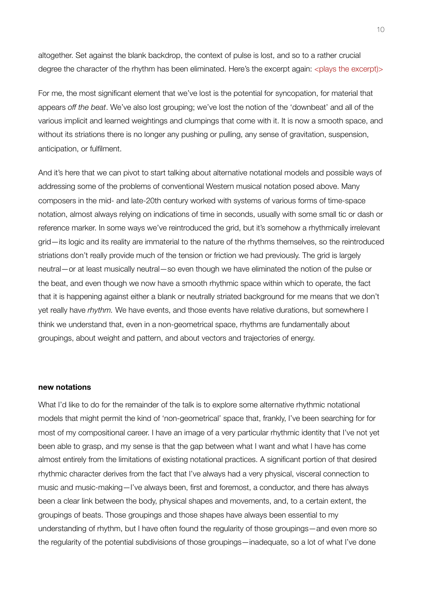altogether. Set against the blank backdrop, the context of pulse is lost, and so to a rather crucial degree the character of the rhythm has been eliminated. Here's the excerpt again: <plays the excerpt)>

For me, the most significant element that we've lost is the potential for syncopation, for material that appears *off the beat*. We've also lost grouping; we've lost the notion of the 'downbeat' and all of the various implicit and learned weightings and clumpings that come with it. It is now a smooth space, and without its striations there is no longer any pushing or pulling, any sense of gravitation, suspension, anticipation, or fulfilment.

And it's here that we can pivot to start talking about alternative notational models and possible ways of addressing some of the problems of conventional Western musical notation posed above. Many composers in the mid- and late-20th century worked with systems of various forms of time-space notation, almost always relying on indications of time in seconds, usually with some small tic or dash or reference marker. In some ways we've reintroduced the grid, but it's somehow a rhythmically irrelevant grid—its logic and its reality are immaterial to the nature of the rhythms themselves, so the reintroduced striations don't really provide much of the tension or friction we had previously. The grid is largely neutral—or at least musically neutral—so even though we have eliminated the notion of the pulse or the beat, and even though we now have a smooth rhythmic space within which to operate, the fact that it is happening against either a blank or neutrally striated background for me means that we don't yet really have *rhythm.* We have events, and those events have relative durations, but somewhere I think we understand that, even in a non-geometrical space, rhythms are fundamentally about groupings, about weight and pattern, and about vectors and trajectories of energy.

#### **new notations**

What I'd like to do for the remainder of the talk is to explore some alternative rhythmic notational models that might permit the kind of 'non-geometrical' space that, frankly, I've been searching for for most of my compositional career. I have an image of a very particular rhythmic identity that I've not yet been able to grasp, and my sense is that the gap between what I want and what I have has come almost entirely from the limitations of existing notational practices. A significant portion of that desired rhythmic character derives from the fact that I've always had a very physical, visceral connection to music and music-making—I've always been, first and foremost, a conductor, and there has always been a clear link between the body, physical shapes and movements, and, to a certain extent, the groupings of beats. Those groupings and those shapes have always been essential to my understanding of rhythm, but I have often found the regularity of those groupings—and even more so the regularity of the potential subdivisions of those groupings—inadequate, so a lot of what I've done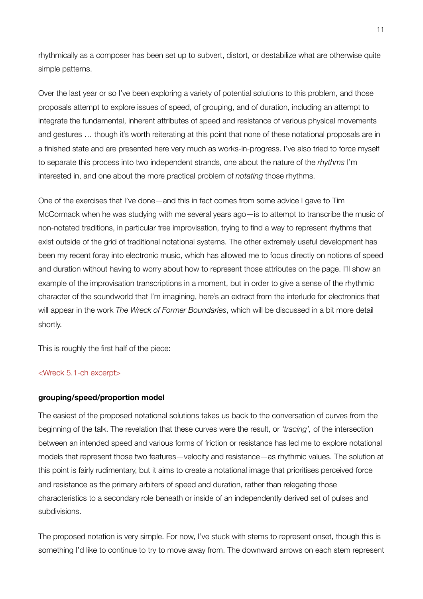rhythmically as a composer has been set up to subvert, distort, or destabilize what are otherwise quite simple patterns.

Over the last year or so I've been exploring a variety of potential solutions to this problem, and those proposals attempt to explore issues of speed, of grouping, and of duration, including an attempt to integrate the fundamental, inherent attributes of speed and resistance of various physical movements and gestures … though it's worth reiterating at this point that none of these notational proposals are in a finished state and are presented here very much as works-in-progress. I've also tried to force myself to separate this process into two independent strands, one about the nature of the *rhythms* I'm interested in, and one about the more practical problem of *notating* those rhythms.

One of the exercises that I've done—and this in fact comes from some advice I gave to Tim McCormack when he was studying with me several years ago—is to attempt to transcribe the music of non-notated traditions, in particular free improvisation, trying to find a way to represent rhythms that exist outside of the grid of traditional notational systems. The other extremely useful development has been my recent foray into electronic music, which has allowed me to focus directly on notions of speed and duration without having to worry about how to represent those attributes on the page. I'll show an example of the improvisation transcriptions in a moment, but in order to give a sense of the rhythmic character of the soundworld that I'm imagining, here's an extract from the interlude for electronics that will appear in the work *The Wreck of Former Boundaries*, which will be discussed in a bit more detail shortly.

This is roughly the first half of the piece:

## <Wreck 5.1-ch excerpt>

### **grouping/speed/proportion model**

The easiest of the proposed notational solutions takes us back to the conversation of curves from the beginning of the talk. The revelation that these curves were the result, or *'tracing',* of the intersection between an intended speed and various forms of friction or resistance has led me to explore notational models that represent those two features—velocity and resistance—as rhythmic values. The solution at this point is fairly rudimentary, but it aims to create a notational image that prioritises perceived force and resistance as the primary arbiters of speed and duration, rather than relegating those characteristics to a secondary role beneath or inside of an independently derived set of pulses and subdivisions.

The proposed notation is very simple. For now, I've stuck with stems to represent onset, though this is something I'd like to continue to try to move away from. The downward arrows on each stem represent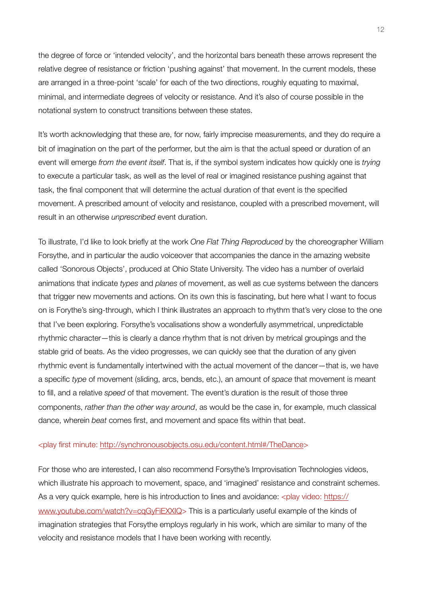the degree of force or 'intended velocity', and the horizontal bars beneath these arrows represent the relative degree of resistance or friction 'pushing against' that movement. In the current models, these are arranged in a three-point 'scale' for each of the two directions, roughly equating to maximal, minimal, and intermediate degrees of velocity or resistance. And it's also of course possible in the notational system to construct transitions between these states.

It's worth acknowledging that these are, for now, fairly imprecise measurements, and they do require a bit of imagination on the part of the performer, but the aim is that the actual speed or duration of an event will emerge *from the event itself*. That is, if the symbol system indicates how quickly one is *trying*  to execute a particular task, as well as the level of real or imagined resistance pushing against that task, the final component that will determine the actual duration of that event is the specified movement. A prescribed amount of velocity and resistance, coupled with a prescribed movement, will result in an otherwise *unprescribed* event duration.

To illustrate, I'd like to look briefly at the work *One Flat Thing Reproduced* by the choreographer William Forsythe, and in particular the audio voiceover that accompanies the dance in the amazing website called 'Sonorous Objects', produced at Ohio State University. The video has a number of overlaid animations that indicate *types* and *planes* of movement, as well as cue systems between the dancers that trigger new movements and actions. On its own this is fascinating, but here what I want to focus on is Forythe's sing-through, which I think illustrates an approach to rhythm that's very close to the one that I've been exploring. Forsythe's vocalisations show a wonderfully asymmetrical, unpredictable rhythmic character—this is clearly a dance rhythm that is not driven by metrical groupings and the stable grid of beats. As the video progresses, we can quickly see that the duration of any given rhythmic event is fundamentally intertwined with the actual movement of the dancer—that is, we have a specific *type* of movement (sliding, arcs, bends, etc.), an amount of *space* that movement is meant to fill, and a relative *speed* of that movement. The event's duration is the result of those three components, *rather than the other way around*, as would be the case in, for example, much classical dance, wherein *beat* comes first, and movement and space fits within that beat.

### <play first minute: <http://synchronousobjects.osu.edu/content.html#/TheDance>>

For those who are interested, I can also recommend Forsythe's Improvisation Technologies videos, which illustrate his approach to movement, space, and 'imagined' resistance and constraint schemes. As a very quick example, here is his introduction to lines and avoidance:  $\langle$ play video: [https://](https://www.youtube.com/watch?v=cqGyFiEXXIQ) [www.youtube.com/watch?v=cqGyFiEXXIQ](https://www.youtube.com/watch?v=cqGyFiEXXIQ)> This is a particularly useful example of the kinds of imagination strategies that Forsythe employs regularly in his work, which are similar to many of the velocity and resistance models that I have been working with recently.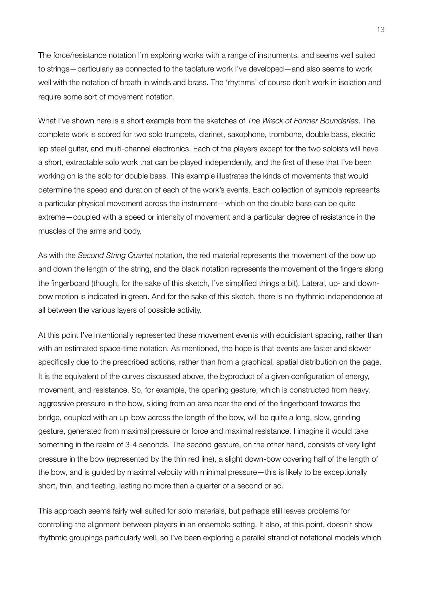The force/resistance notation I'm exploring works with a range of instruments, and seems well suited to strings—particularly as connected to the tablature work I've developed—and also seems to work well with the notation of breath in winds and brass. The 'rhythms' of course don't work in isolation and require some sort of movement notation.

What I've shown here is a short example from the sketches of *The Wreck of Former Boundaries*. The complete work is scored for two solo trumpets, clarinet, saxophone, trombone, double bass, electric lap steel guitar, and multi-channel electronics. Each of the players except for the two soloists will have a short, extractable solo work that can be played independently, and the first of these that I've been working on is the solo for double bass. This example illustrates the kinds of movements that would determine the speed and duration of each of the work's events. Each collection of symbols represents a particular physical movement across the instrument—which on the double bass can be quite extreme—coupled with a speed or intensity of movement and a particular degree of resistance in the muscles of the arms and body.

As with the *Second String Quartet* notation, the red material represents the movement of the bow up and down the length of the string, and the black notation represents the movement of the fingers along the fingerboard (though, for the sake of this sketch, I've simplified things a bit). Lateral, up- and downbow motion is indicated in green. And for the sake of this sketch, there is no rhythmic independence at all between the various layers of possible activity.

At this point I've intentionally represented these movement events with equidistant spacing, rather than with an estimated space-time notation. As mentioned, the hope is that events are faster and slower specifically due to the prescribed actions, rather than from a graphical, spatial distribution on the page. It is the equivalent of the curves discussed above, the byproduct of a given configuration of energy, movement, and resistance. So, for example, the opening gesture, which is constructed from heavy, aggressive pressure in the bow, sliding from an area near the end of the fingerboard towards the bridge, coupled with an up-bow across the length of the bow, will be quite a long, slow, grinding gesture, generated from maximal pressure or force and maximal resistance. I imagine it would take something in the realm of 3-4 seconds. The second gesture, on the other hand, consists of very light pressure in the bow (represented by the thin red line), a slight down-bow covering half of the length of the bow, and is guided by maximal velocity with minimal pressure—this is likely to be exceptionally short, thin, and fleeting, lasting no more than a quarter of a second or so.

This approach seems fairly well suited for solo materials, but perhaps still leaves problems for controlling the alignment between players in an ensemble setting. It also, at this point, doesn't show rhythmic groupings particularly well, so I've been exploring a parallel strand of notational models which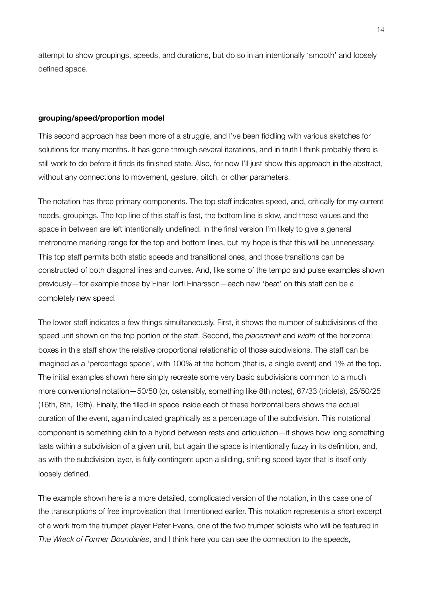attempt to show groupings, speeds, and durations, but do so in an intentionally 'smooth' and loosely defined space.

### **grouping/speed/proportion model**

This second approach has been more of a struggle, and I've been fiddling with various sketches for solutions for many months. It has gone through several iterations, and in truth I think probably there is still work to do before it finds its finished state. Also, for now I'll just show this approach in the abstract, without any connections to movement, gesture, pitch, or other parameters.

The notation has three primary components. The top staff indicates speed, and, critically for my current needs, groupings. The top line of this staff is fast, the bottom line is slow, and these values and the space in between are left intentionally undefined. In the final version I'm likely to give a general metronome marking range for the top and bottom lines, but my hope is that this will be unnecessary. This top staff permits both static speeds and transitional ones, and those transitions can be constructed of both diagonal lines and curves. And, like some of the tempo and pulse examples shown previously—for example those by Einar Torfi Einarsson—each new 'beat' on this staff can be a completely new speed.

The lower staff indicates a few things simultaneously. First, it shows the number of subdivisions of the speed unit shown on the top portion of the staff. Second, the *placement* and *width* of the horizontal boxes in this staff show the relative proportional relationship of those subdivisions. The staff can be imagined as a 'percentage space', with 100% at the bottom (that is, a single event) and 1% at the top. The initial examples shown here simply recreate some very basic subdivisions common to a much more conventional notation—50/50 (or, ostensibly, something like 8th notes), 67/33 (triplets), 25/50/25 (16th, 8th, 16th). Finally, the filled-in space inside each of these horizontal bars shows the actual duration of the event, again indicated graphically as a percentage of the subdivision. This notational component is something akin to a hybrid between rests and articulation—it shows how long something lasts within a subdivision of a given unit, but again the space is intentionally fuzzy in its definition, and, as with the subdivision layer, is fully contingent upon a sliding, shifting speed layer that is itself only loosely defined.

The example shown here is a more detailed, complicated version of the notation, in this case one of the transcriptions of free improvisation that I mentioned earlier. This notation represents a short excerpt of a work from the trumpet player Peter Evans, one of the two trumpet soloists who will be featured in *The Wreck of Former Boundaries*, and I think here you can see the connection to the speeds,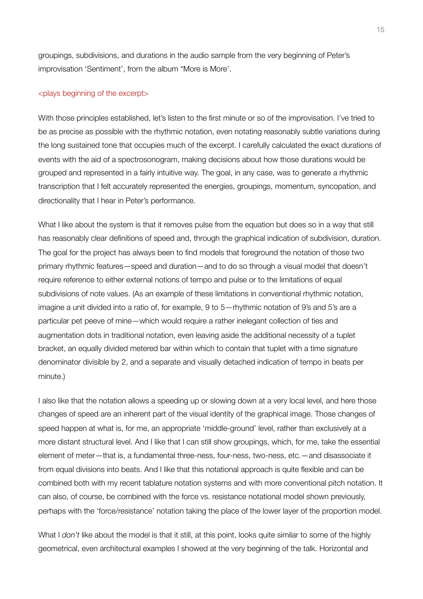groupings, subdivisions, and durations in the audio sample from the very beginning of Peter's improvisation 'Sentiment', from the album "More is More'.

#### <plays beginning of the excerpt>

With those principles established, let's listen to the first minute or so of the improvisation. I've tried to be as precise as possible with the rhythmic notation, even notating reasonably subtle variations during the long sustained tone that occupies much of the excerpt. I carefully calculated the exact durations of events with the aid of a spectrosonogram, making decisions about how those durations would be grouped and represented in a fairly intuitive way. The goal, in any case, was to generate a rhythmic transcription that I felt accurately represented the energies, groupings, momentum, syncopation, and directionality that I hear in Peter's performance.

What I like about the system is that it removes pulse from the equation but does so in a way that still has reasonably clear definitions of speed and, through the graphical indication of subdivision, duration. The goal for the project has always been to find models that foreground the notation of those two primary rhythmic features—speed and duration—and to do so through a visual model that doesn't require reference to either external notions of tempo and pulse or to the limitations of equal subdivisions of note values. (As an example of these limitations in conventional rhythmic notation, imagine a unit divided into a ratio of, for example, 9 to 5—rhythmic notation of 9's and 5's are a particular pet peeve of mine—which would require a rather inelegant collection of ties and augmentation dots in traditional notation, even leaving aside the additional necessity of a tuplet bracket, an equally divided metered bar within which to contain that tuplet with a time signature denominator divisible by 2, and a separate and visually detached indication of tempo in beats per minute.)

I also like that the notation allows a speeding up or slowing down at a very local level, and here those changes of speed are an inherent part of the visual identity of the graphical image. Those changes of speed happen at what is, for me, an appropriate 'middle-ground' level, rather than exclusively at a more distant structural level. And I like that I can still show groupings, which, for me, take the essential element of meter—that is, a fundamental three-ness, four-ness, two-ness, etc.—and disassociate it from equal divisions into beats. And I like that this notational approach is quite flexible and can be combined both with my recent tablature notation systems and with more conventional pitch notation. It can also, of course, be combined with the force vs. resistance notational model shown previously, perhaps with the 'force/resistance' notation taking the place of the lower layer of the proportion model.

What I *don't* like about the model is that it still, at this point, looks quite similar to some of the highly geometrical, even architectural examples I showed at the very beginning of the talk. Horizontal and